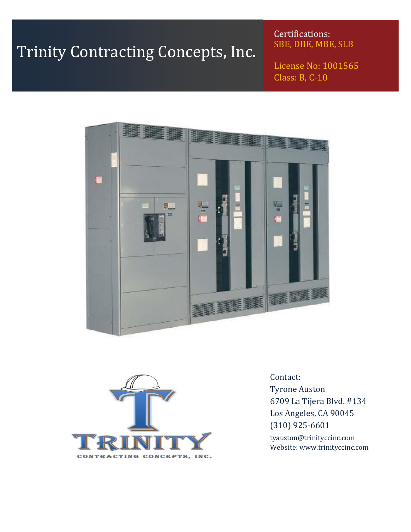## Trinity Contracting Concepts, Inc.

Certifications: SBE, DBE, MBE, SLB

License No: 1001565 Class: B, C-10





Contact: Tyrone Auston 6709 La Tijera Blvd. #134 Los Angeles, CA 90045 (310) 925-6601 tyauston@trinityccinc.com Website: www.trinityccinc.com